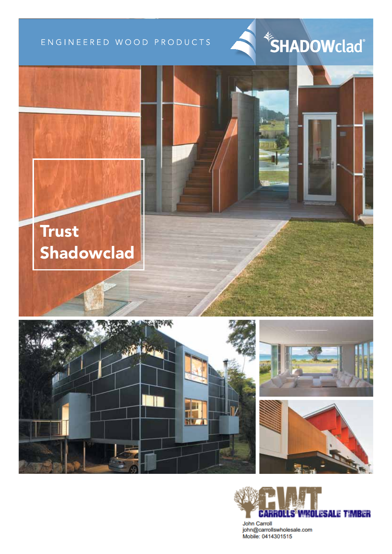## ENGINEERED WOOD PRODUCTS













John Carroll john@carrollswholesale.com Mobile: 0414301515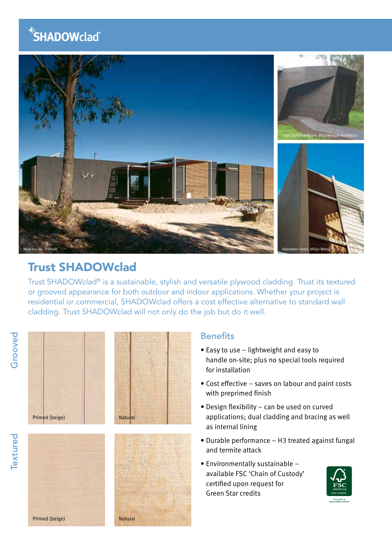# **SHADOWclad**®



## Trust SHADOWclad

Trust SHADOWclad® is a sustainable, stylish and versatile plywood cladding. Trust its textured or grooved appearance for both outdoor and indoor applications. Whether your project is residential or commercial, SHADOWclad offers a cost effective alternative to standard wall cladding. Trust SHADOWclad will not only do the job but do it well.







## **Benefits**

- Easy to use lightweight and easy to handle on-site; plus no special tools required for installation
- Cost effective saves on labour and paint costs with preprimed finish
- Design flexibility can be used on curved applications; dual cladding and bracing as well as internal lining
- Durable performance H3 treated against fungal and termite attack
- Environmentally sustainable available FSC 'Chain of Custody' certified upon request for Green Star credits



Primed (beige) Natural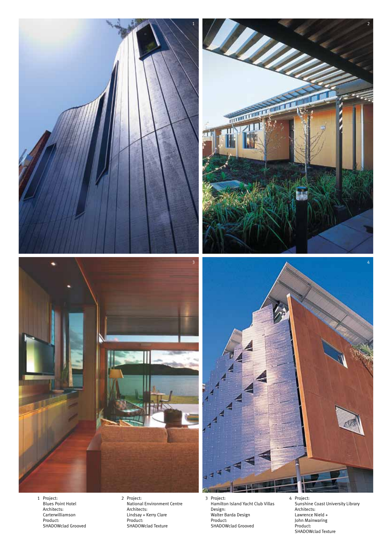

1 Project: Blues Point Hotel Architects: Carterwilliamson Product: SHADOWclad Grooved 2 Project: National Environment Centre Architects: Lindsay + Kerry Clare Product: SHADOWclad Texture

3 Project: Hamilton Island Yacht Club Villas Design: Walter Barda Design Product: SHADOWclad Grooved

4 Project: Sunshine Coast University Library Architects: Lawrence Nield + John Mainwaring Product: SHADOWclad Texture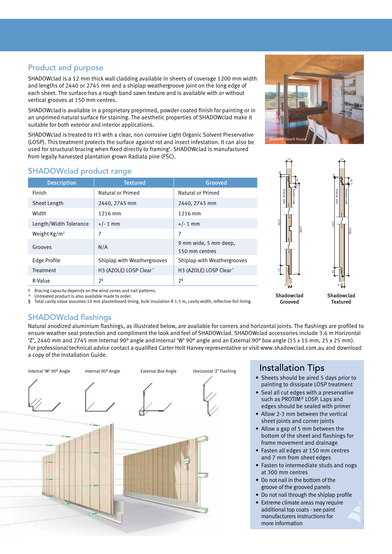## Product and purpose

SHADOWclad is a 12 mm thick wall cladding available in sheets of coverage 1200 mm width and lengths of 2440 or 2745 mm and a shiplap weathergroove joint on the long edge of each sheet. The surface has a rough band sawn texture and is available with or without vertical grooves at 150 mm centres.

SHADOWcladis available in a proprietary preprimed, powder coated finish for painting or in an unprimed natural surface for staining. The aesthetic properties of SHADOWclad make it suitable for both exterior and interior applications.

SHADOWclad is treated to H3 with a clear, non corrosive Light Organic Solvent Preservative (LOSP). This treatment protects the surface against rot and insect infestation. It can also be used for structural bracing when fixed directly to framing† . SHADOWclad is manufactured from legally harvested plantation grown Radiata pine (FSC).

## SHADOWclad product range

| <b>Description</b>     | <b>Textured</b>                    | Grooved                                 |
|------------------------|------------------------------------|-----------------------------------------|
| Finish                 | Natural or Primed                  | Natural or Primed                       |
| Sheet Length           | 2440, 2745 mm                      | 2440, 2745 mm                           |
| Width                  | 1216 mm                            | 1216 mm                                 |
| Length/Width Tolerance | $+/- 1$ mm                         | $+/- 1$ mm                              |
| Weight $Kg/m^2$        | 7                                  | 7                                       |
| Grooves                | N/A                                | 9 mm wide, 5 mm deep,<br>150 mm centres |
| Edge Profile           | Shiplap with Weathergrooves        | Shiplap with Weathergrooves             |
| Treatment              | H3 (AZOLE) LOSP Clear <sup>^</sup> | H3 (AZOLE) LOSP Clear <sup>^</sup>      |
| R-Value                | 2 <sup>5</sup>                     | 2ş                                      |



Textured

† Bracing capacity depends on the wind zones and nail patterns.

Untreated product is also available made to order. § Total cavity value assumes 10 mm plasterboard lining, bulk insulation R 1.5 m, cavity width, reflective foil lining.

## SHADOWclad flashings

Natural anodized aluminium flashings, as illustrated below, are available for corners and horizontal joints. The flashings are profiled to ensure weather seal protection and compliment the look and feel of SHADOWclad. SHADOWclad accessories include 3.6 m Horizontal 'Z', 2440 mm and 2745 mm Internal 90° angle and Internal 'W' 90° angle and an External 90° box angle (15 x 15 mm, 25 x 25 mm). For professional technical advice contact a qualified Carter Holt Harvey representative or visit www.shadowclad.com.au and download a copy of the Installation Guide.



## Installation Tips

Grooved

- Sheets should be aired 5 days prior to painting to dissipate LOSP treatment
- Seal all cut edges with a preservative such as PROTIM® LOSP. Laps and edges should be sealed with primer
- Allow 2-3 mm between the vertical sheet joints and corner joints
- Allow a gap of 5 mm between the bottom of the sheet and flashings for frame movement and drainage
- Fasten all edges at 150 mm centres and 7 mm from sheet edges
- Fasten to intermediate studs and nogs at 300 mm centres
- Do not nail in the bottom of the groove of the grooved panels
- Do not nail through the shiplap profile
- Extreme climate areas may require additional top coats - see paint manufacturers instructions for more information

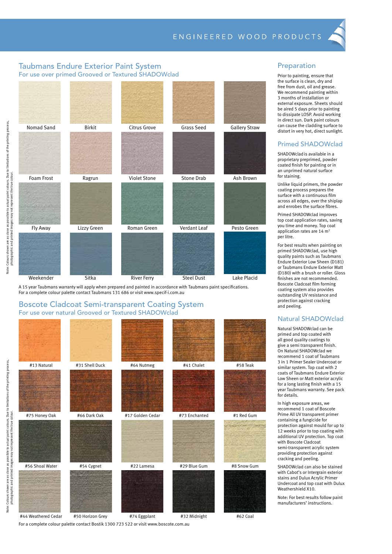#### Taubmans Endure Exterior Paint System For use over primed Grooved or Textured SHADOWclad



A 15 year Taubmans warranty will apply when prepared and painted in accordance with Taubmans paint specifications. For a complete colour palette contact Taubmans 131 686 or visit www.specif-i.com.au

#### Boscote Cladcoat Semi-transparent Coating System For use over natural Grooved or Textured SHADOWclad



#44 Weathered Cedar #50 Horizon Grey #74 Eggplant #32 Midnight #62 Coal

#### Preparation

Prior to painting, ensure that the surface is clean, dry and free from dust, oil and grease. We recommend painting within 3 months of installation or external exposure. Sheets should be aired 5 days prior to painting to dissipate LOSP. Avoid working in direct sun. Dark paint colours can cause the cladding surface to distort in very hot, direct sunlight.

#### Primed SHADOWclad

SHADOWcladis available in a proprietary preprimed, powder coated finish for painting or in an unprimed natural surface for staining.

Unlike liquid primers, the powder coating process prepares the surface with a continuous film across all edges, over the shiplap and enrobes the surface fibres.

Primed SHADOWclad improves top coat application rates, saving you time and money. Top coat application rates are  $14 \text{ m}^2$ per litre.

For best results when painting on primed SHADOWclad, use high quality paints such as Taubmans Endure Exterior Low Sheen (D181) or Taubmans Endure Exterior Matt (D180) with a brush or roller. Gloss finishes are not recommended. Boscote Cladcoat film forming coating system also provides outstanding UV resistance and protection against cracking and peeling.

#### Natural SHADOWclad

Natural SHADOWclad can be primed and top coated with all good quality coatings to give a semi transparent finish. On Natural SHADOWclad we recommend 1 coat of Taubmans 3 in 1 Primer Sealer Undercoat or similar system. Top coat with 2 coats of Taubmans Endure Exterior Low Sheen or Matt exterior acrylic for a long lasting finish with a 15 year Taubmans warranty. See pack for details.

In high exposure areas, we recommend 1 coat of Boscote Prime All UV transparent primer containing a fungicide for protection against mould for up to 12 weeks prior to top coating with additional UV protection. Top coat with Boscote Cladcoat semi-transparent acrylic system providing protection against cracking and peeling.

SHADOWclad can also be stained with Cabot's or Intergrain exterior stains and Dulux Acrylic Primer Undercoat and top coat with Dulux Weathershield X10.

Note: For best results follow paint manufacturers' instructions.

are as close as possible to actual paint colours. Due to limitations of the printing process Note: Colours shown are as close as possible to actual paint colours. Due to limitations of the printing process, Colours shown are as close as possible to actual paint colours. Due t<br>photographic and printed images may not represent the true colour. photographic and printed images may not represent the true colour. Note:

For a complete colour palette contact Bostik 1300 723 522 or visit www.boscote.com.au